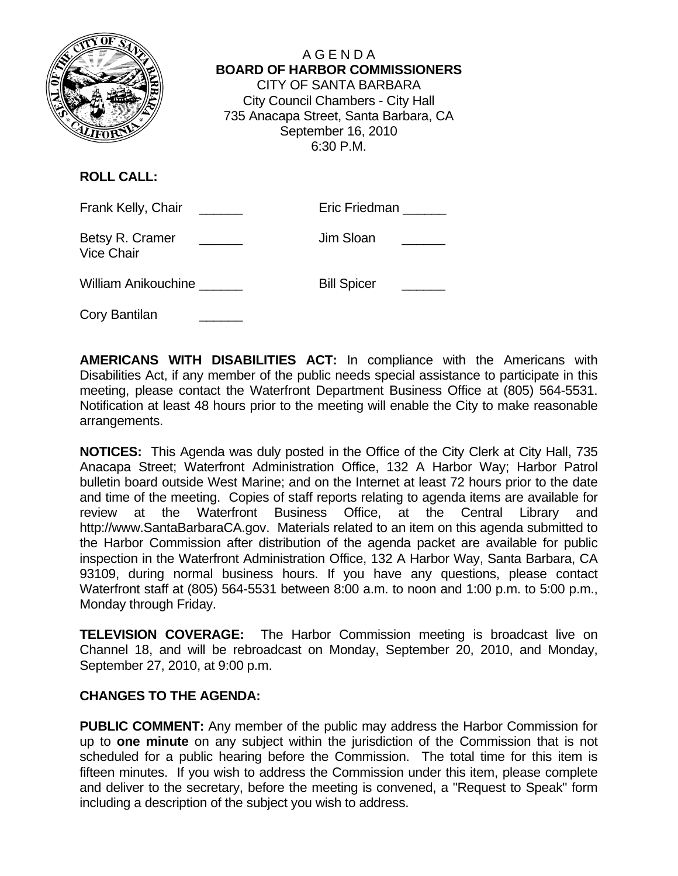

A G E N D A  **BOARD OF HARBOR COMMISSIONERS** CITY OF SANTA BARBARA City Council Chambers - City Hall 735 Anacapa Street, Santa Barbara, CA September 16, 2010 6:30 P.M.

## **ROLL CALL:**

| Frank Kelly, Chair                   | Eric Friedman |
|--------------------------------------|---------------|
| Betsy R. Cramer<br><b>Vice Chair</b> | Jim Sloan     |

| <b>Bill Spicer</b> |
|--------------------|
|                    |

Cory Bantilan

**AMERICANS WITH DISABILITIES ACT:** In compliance with the Americans with Disabilities Act, if any member of the public needs special assistance to participate in this meeting, please contact the Waterfront Department Business Office at (805) 564-5531. Notification at least 48 hours prior to the meeting will enable the City to make reasonable arrangements.

**NOTICES:** This Agenda was duly posted in the Office of the City Clerk at City Hall, 735 Anacapa Street; Waterfront Administration Office, 132 A Harbor Way; Harbor Patrol bulletin board outside West Marine; and on the Internet at least 72 hours prior to the date and time of the meeting. Copies of staff reports relating to agenda items are available for review at the Waterfront Business Office, at the Central Library and http://www.SantaBarbaraCA.gov. Materials related to an item on this agenda submitted to the Harbor Commission after distribution of the agenda packet are available for public inspection in the Waterfront Administration Office, 132 A Harbor Way, Santa Barbara, CA 93109, during normal business hours. If you have any questions, please contact Waterfront staff at (805) 564-5531 between 8:00 a.m. to noon and 1:00 p.m. to 5:00 p.m., Monday through Friday.

**TELEVISION COVERAGE:** The Harbor Commission meeting is broadcast live on Channel 18, and will be rebroadcast on Monday, September 20, 2010, and Monday, September 27, 2010, at 9:00 p.m.

#### **CHANGES TO THE AGENDA:**

**PUBLIC COMMENT:** Any member of the public may address the Harbor Commission for up to **one minute** on any subject within the jurisdiction of the Commission that is not scheduled for a public hearing before the Commission. The total time for this item is fifteen minutes. If you wish to address the Commission under this item, please complete and deliver to the secretary, before the meeting is convened, a "Request to Speak" form including a description of the subject you wish to address.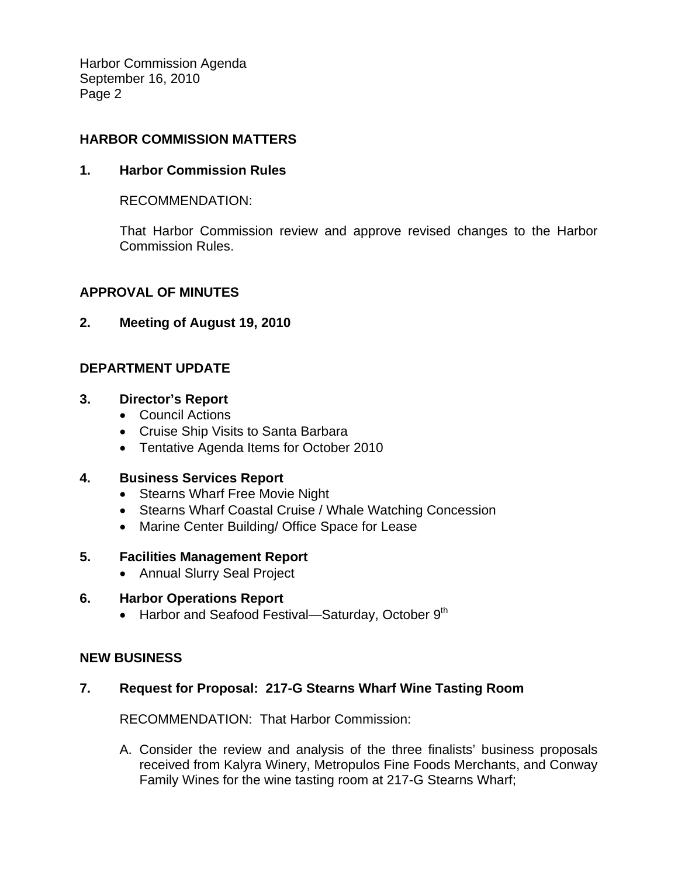Harbor Commission Agenda September 16, 2010 Page 2

### **HARBOR COMMISSION MATTERS**

#### **1. Harbor Commission Rules**

RECOMMENDATION:

That Harbor Commission review and approve revised changes to the Harbor Commission Rules.

#### **APPROVAL OF MINUTES**

#### **2. Meeting of August 19, 2010**

# **DEPARTMENT UPDATE**

# **3. Director's Report**

- Council Actions
- Cruise Ship Visits to Santa Barbara
- Tentative Agenda Items for October 2010

#### **4. Business Services Report**

- Stearns Wharf Free Movie Night
- Stearns Wharf Coastal Cruise / Whale Watching Concession
- Marine Center Building/ Office Space for Lease

#### **5. Facilities Management Report**

• Annual Slurry Seal Project

#### **6. Harbor Operations Report**

• Harbor and Seafood Festival—Saturday, October  $9<sup>th</sup>$ 

#### **NEW BUSINESS**

#### **7. Request for Proposal: 217-G Stearns Wharf Wine Tasting Room**

RECOMMENDATION: That Harbor Commission:

A. Consider the review and analysis of the three finalists' business proposals received from Kalyra Winery, Metropulos Fine Foods Merchants, and Conway Family Wines for the wine tasting room at 217-G Stearns Wharf;